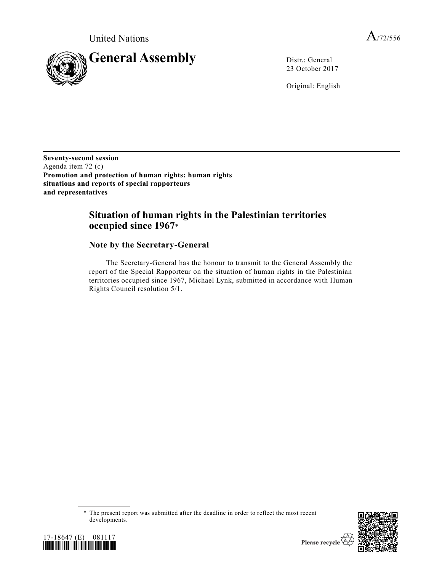

23 October 2017

Original: English

**Seventy-second session** Agenda item 72 (c) **Promotion and protection of human rights: human rights situations and reports of special rapporteurs and representatives** 

## **Situation of human rights in the Palestinian territories occupied since 1967**\*

## **Note by the Secretary-General**

The Secretary-General has the honour to transmit to the General Assembly the report of the Special Rapporteur on the situation of human rights in the Palestinian territories occupied since 1967, Michael Lynk, submitted in accordance with Human Rights Council resolution 5/1.





<sup>\*</sup> The present report was submitted after the deadline in order to reflect the most recent developments.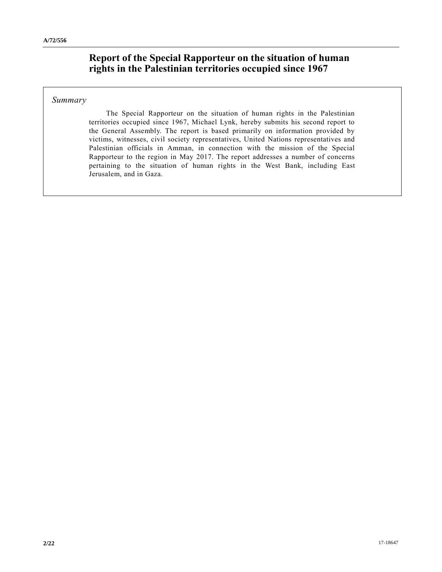# **Report of the Special Rapporteur on the situation of human rights in the Palestinian territories occupied since 1967**

## *Summary*

The Special Rapporteur on the situation of human rights in the Palestinian territories occupied since 1967, Michael Lynk, hereby submits his second report to the General Assembly. The report is based primarily on information provided by victims, witnesses, civil society representatives, United Nations representatives and Palestinian officials in Amman, in connection with the mission of the Special Rapporteur to the region in May 2017. The report addresses a number of concerns pertaining to the situation of human rights in the West Bank, including East Jerusalem, and in Gaza.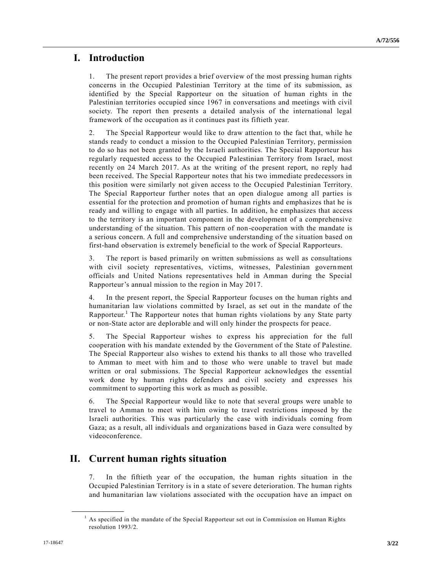# **I. Introduction**

1. The present report provides a brief overview of the most pressing human rights concerns in the Occupied Palestinian Territory at the time of its submission, as identified by the Special Rapporteur on the situation of human rights in the Palestinian territories occupied since 1967 in conversations and meetings with civil society. The report then presents a detailed analysis of the international legal framework of the occupation as it continues past its fiftieth year.

2. The Special Rapporteur would like to draw attention to the fact that, while he stands ready to conduct a mission to the Occupied Palestinian Territory, permission to do so has not been granted by the Israeli authorities. The Special Rapporteur has regularly requested access to the Occupied Palestinian Territory from Israel, most recently on 24 March 2017. As at the writing of the present report, no reply had been received. The Special Rapporteur notes that his two immediate predecessors in this position were similarly not given access to the Occupied Palestinian Territory. The Special Rapporteur further notes that an open dialogue among all parties is essential for the protection and promotion of human rights and emphasizes that he is ready and willing to engage with all parties. In addition, he emphasizes that access to the territory is an important component in the development of a comprehensive understanding of the situation. This pattern of non-cooperation with the mandate is a serious concern. A full and comprehensive understanding of the situation based on first-hand observation is extremely beneficial to the work of Special Rapporteurs.

3. The report is based primarily on written submissions as well as consultations with civil society representatives, victims, witnesses, Palestinian government officials and United Nations representatives held in Amman during the Special Rapporteur's annual mission to the region in May 2017.

4. In the present report, the Special Rapporteur focuses on the human rights and humanitarian law violations committed by Israel, as set out in the mandate of the Rapporteur.<sup>1</sup> The Rapporteur notes that human rights violations by any State party or non-State actor are deplorable and will only hinder the prospects for peace.

5. The Special Rapporteur wishes to express his appreciation for the full cooperation with his mandate extended by the Government of the State of Palestine. The Special Rapporteur also wishes to extend his thanks to all those who travelled to Amman to meet with him and to those who were unable to travel but made written or oral submissions. The Special Rapporteur acknowledges the essential work done by human rights defenders and civil society and expresses his commitment to supporting this work as much as possible.

6. The Special Rapporteur would like to note that several groups were unable to travel to Amman to meet with him owing to travel restrictions imposed by the Israeli authorities. This was particularly the case with individuals coming from Gaza; as a result, all individuals and organizations based in Gaza were consulted by videoconference.

# **II. Current human rights situation**

7. In the fiftieth year of the occupation, the human rights situation in the Occupied Palestinian Territory is in a state of severe deterioration. The human rights and humanitarian law violations associated with the occupation have an impact on

 $<sup>1</sup>$  As specified in the mandate of the Special Rapporteur set out in Commission on Human Rights</sup> resolution 1993/2.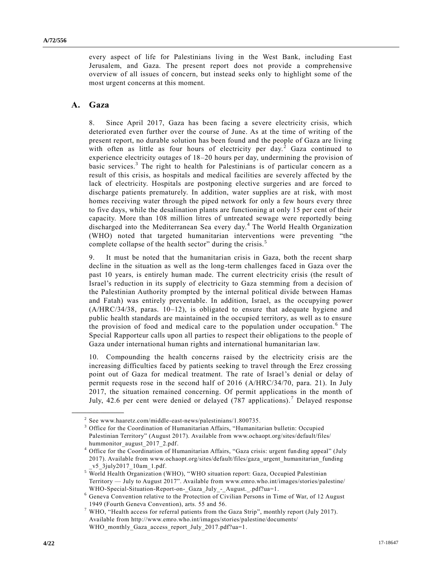every aspect of life for Palestinians living in the West Bank, including East Jerusalem, and Gaza. The present report does not provide a comprehensive overview of all issues of concern, but instead seeks only to highlight some of the most urgent concerns at this moment.

### **A. Gaza**

**\_\_\_\_\_\_\_\_\_\_\_\_\_\_\_\_\_\_**

8. Since April 2017, Gaza has been facing a severe electricity crisis, which deteriorated even further over the course of June. As at the time of writing of the present report, no durable solution has been found and the people of Gaza are living with often as little as four hours of electricity per day.<sup>2</sup> Gaza continued to experience electricity outages of 18–20 hours per day, undermining the provision of basic services.<sup>3</sup> The right to health for Palestinians is of particular concern as a result of this crisis, as hospitals and medical facilities are severely affected by the lack of electricity. Hospitals are postponing elective surgeries and are forced to discharge patients prematurely. In addition, water supplies are at risk, with most homes receiving water through the piped network for only a few hours every three to five days, while the desalination plants are functioning at only 15 per cent of their capacity. More than 108 million litres of untreated sewage were reportedly being discharged into the Mediterranean Sea every day. <sup>4</sup> The World Health Organization (WHO) noted that targeted humanitarian interventions were preventing "the complete collapse of the health sector" during the crisis.<sup>5</sup>

9. It must be noted that the humanitarian crisis in Gaza, both the recent sharp decline in the situation as well as the long-term challenges faced in Gaza over the past 10 years, is entirely human made. The current electricity crisis (the result of Israel's reduction in its supply of electricity to Gaza stemming from a decision of the Palestinian Authority prompted by the internal political divide between Hamas and Fatah) was entirely preventable. In addition, Israel, as the occupying power [\(A/HRC/34/38,](https://undocs.org/A/HRC/34/38) paras. 10–12), is obligated to ensure that adequate hygiene and public health standards are maintained in the occupied territory, as well as to ensure the provision of food and medical care to the population under occupation. <sup>6</sup> The Special Rapporteur calls upon all parties to respect their obligations to the people of Gaza under international human rights and international humanitarian law.

10. Compounding the health concerns raised by the electricity crisis are the increasing difficulties faced by patients seeking to travel through the Erez crossing point out of Gaza for medical treatment. The rate of Israel's denial or delay of permit requests rose in the second half of 2016 [\(A/HRC/34/70,](https://undocs.org/A/HRC/34/70) para. 21). In July 2017, the situation remained concerning. Of permit applications in the month of July, 42.6 per cent were denied or delayed (787 applications). <sup>7</sup> Delayed response

<sup>2</sup> See [www.haaretz.com/middle-east-news/palestinians/1.800735.](https://www.haaretz.com/middle-east-news/palestinians/1.800735)

<sup>&</sup>lt;sup>3</sup> Office for the Coordination of Humanitarian Affairs, "Humanitarian bulletin: Occupied Palestinian Territory" (August 2017). Available from [www.ochaopt.org/sites/default/files/](http://www.ochaopt.org/sites/default/files/hummonitor_august_2017_2.pdf) [hummonitor\\_august\\_2017\\_2.pdf.](http://www.ochaopt.org/sites/default/files/hummonitor_august_2017_2.pdf)

<sup>&</sup>lt;sup>4</sup> Office for the Coordination of Humanitarian Affairs, "Gaza crisis: urgent funding appeal" (July 2017). Available from [www.ochaopt.org/sites/default/files/gaza\\_urgent\\_humanitarian\\_funding](http://www.ochaopt.org/sites/default/files/gaza_urgent_humanitarian_funding_v5_3july2017_10am_1.pdf) [\\_v5\\_3july2017\\_10am\\_1.pdf.](http://www.ochaopt.org/sites/default/files/gaza_urgent_humanitarian_funding_v5_3july2017_10am_1.pdf)

<sup>5</sup> World Health Organization (WHO), "WHO situation report: Gaza, Occupied Palestinian Territory — July to August 2017". Available from [www.emro.who.int/images/stories/palestine/](http://www.emro.who.int/images/stories/palestine/WHO-Special-Situation-Report-on-_Gaza_July_-_August._.pdf?ua=1) [WHO-Special-Situation-Report-on-\\_Gaza\\_July\\_-\\_August.\\_.pdf?ua=1.](http://www.emro.who.int/images/stories/palestine/WHO-Special-Situation-Report-on-_Gaza_July_-_August._.pdf?ua=1)

 $6$  Geneva Convention relative to the Protection of Civilian Persons in Time of War, of 12 August 1949 (Fourth Geneva Convention), arts. 55 and 56.

 $7$  WHO, "Health access for referral patients from the Gaza Strip", monthly report (July 2017). Available from [http://www.emro.who.int/images/stories/palestine/documents/](http://www.emro.who.int/images/stories/palestine/documents/%0bWHO_monthly_Gaza_access_report_July_2017.pdf?ua=1) [WHO\\_monthly\\_Gaza\\_access\\_report\\_July\\_2017.pdf?ua=1.](http://www.emro.who.int/images/stories/palestine/documents/%0bWHO_monthly_Gaza_access_report_July_2017.pdf?ua=1)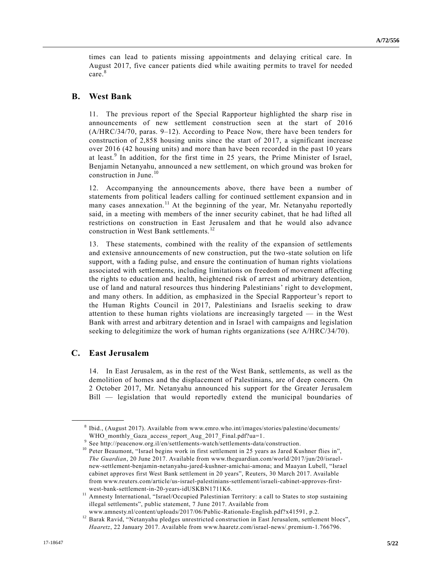times can lead to patients missing appointments and delaying critical care. In August 2017, five cancer patients died while awaiting permits to travel for needed care.<sup>8</sup>

### **B. West Bank**

11. The previous report of the Special Rapporteur highlighted the sharp rise in announcements of new settlement construction seen at the start of 2016 [\(A/HRC/34/70,](https://undocs.org/A/HRC/34/70) paras. 9–12). According to Peace Now, there have been tenders for construction of 2,858 housing units since the start of 2017, a significant increase over 2016 (42 housing units) and more than have been recorded in the past 10 years at least.<sup>9</sup> In addition, for the first time in 25 years, the Prime Minister of Israel, Benjamin Netanyahu, announced a new settlement, on which ground was broken for construction in June.<sup>10</sup>

12. Accompanying the announcements above, there have been a number of statements from political leaders calling for continued settlement expansion and in many cases annexation.<sup>11</sup> At the beginning of the year, Mr. Netanyahu reportedly said, in a meeting with members of the inner security cabinet, that he had lifted all restrictions on construction in East Jerusalem and that he would also advance construction in West Bank settlements.<sup>12</sup>

13. These statements, combined with the reality of the expansion of settlements and extensive announcements of new construction, put the two-state solution on life support, with a fading pulse, and ensure the continuation of human rights violations associated with settlements, including limitations on freedom of movement affecting the rights to education and health, heightened risk of arrest and arbitrary detention, use of land and natural resources thus hindering Palestinians' right to development, and many others. In addition, as emphasized in the Special Rapporteur's report to the Human Rights Council in 2017, Palestinians and Israelis seeking to draw attention to these human rights violations are increasingly targeted — in the West Bank with arrest and arbitrary detention and in Israel with campaigns and legislation seeking to delegitimize the work of human rights organizations (see [A/HRC/34/70\)](https://undocs.org/A/HRC/34/70).

## **C. East Jerusalem**

**\_\_\_\_\_\_\_\_\_\_\_\_\_\_\_\_\_\_**

14. In East Jerusalem, as in the rest of the West Bank, settlements, as well as the demolition of homes and the displacement of Palestinians, are of deep concern. On 2 October 2017, Mr. Netanyahu announced his support for the Greater Jerusalem Bill — legislation that would reportedly extend the municipal boundaries of

<sup>&</sup>lt;sup>8</sup> Ibid., (August 2017). Available from [www.emro.who.int/images/stories/palestine/documents/](http://www.emro.who.int/images/stories/palestine/documents/%0bWHO_monthly_Gaza_access_report_Aug_2017_Final.pdf?ua=1) [WHO\\_monthly\\_Gaza\\_access\\_report\\_Aug\\_2017\\_Final.pdf?ua=1.](http://www.emro.who.int/images/stories/palestine/documents/%0bWHO_monthly_Gaza_access_report_Aug_2017_Final.pdf?ua=1)

<sup>&</sup>lt;sup>9</sup> See [http://peacenow.org.il/en/settlements-watch/settlements-data/construction.](http://peacenow.org.il/en/settlements-watch/settlements-data/construction)

<sup>&</sup>lt;sup>10</sup> Peter Beaumont, "Israel begins work in first settlement in 25 years as Jared Kushner flies in", *The Guardian*, 20 June 2017. Available from [www.theguardian.com/world/2017/jun/20/israel](https://www.theguardian.com/world/2017/jun/20/israel-new-settlement-benjamin-netanyahu-jared-kushner-amichai-amona)[new-settlement-benjamin-netanyahu-jared-kushner-amichai-amona;](https://www.theguardian.com/world/2017/jun/20/israel-new-settlement-benjamin-netanyahu-jared-kushner-amichai-amona) and Maayan Lubell, "Israel cabinet approves first West Bank settlement in 20 years", Reuters, 30 March 2017. Available from [www.reuters.com/article/us-israel-palestinians-settlement/israeli-cabinet-approves-first](http://www.reuters.com/article/us-israel-palestinians-settlement/israeli-cabinet-approves-first-west-bank-settlement-in-20-years-idUSKBN1711K6)[west-bank-settlement-in-20-years-idUSKBN1711K6.](http://www.reuters.com/article/us-israel-palestinians-settlement/israeli-cabinet-approves-first-west-bank-settlement-in-20-years-idUSKBN1711K6)

<sup>&</sup>lt;sup>11</sup> Amnesty International, "Israel/Occupied Palestinian Territory: a call to States to stop sustaining illegal settlements", public statement, 7 June 2017. Available from

[www.amnesty.nl/content/uploads/2017/06/Public-Rationale-English.pdf?x41591,](https://www.amnesty.nl/content/uploads/2017/06/Public-Rationale-English.pdf?x41591) p.2. <sup>12</sup> Barak Ravid, "Netanyahu pledges unrestricted construction in East Jerusalem, settlement blocs", *Haaretz*, 22 January 2017. Available from [www.haaretz.com/israel-news/.premium-1.766796.](https://www.haaretz.com/israel-news/.premium-1.766796)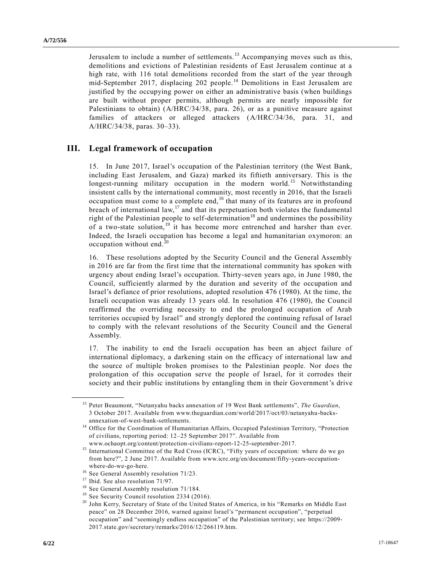Jerusalem to include a number of settlements.<sup>13</sup> Accompanying moves such as this, demolitions and evictions of Palestinian residents of East Jerusalem continue at a high rate, with 116 total demolitions recorded from the start of the year through mid-September 2017, displacing 202 people.<sup>14</sup> Demolitions in East Jerusalem are justified by the occupying power on either an administrative basis (when buildings are built without proper permits, although permits are nearly impossible for Palestinians to obtain) [\(A/HRC/34/38,](https://undocs.org/A/HRC/34/38) para. 26), or as a punitive measure against families of attackers or alleged attackers [\(A/HRC/34/36,](https://undocs.org/A/HRC/34/36) para. 31, and [A/HRC/34/38,](https://undocs.org/A/HRC/34/38) paras. 30–33).

## **III. Legal framework of occupation**

15. In June 2017, Israel's occupation of the Palestinian territory (the West Bank, including East Jerusalem, and Gaza) marked its fiftieth anniversary. This is the longest-running military occupation in the modern world.<sup>15</sup> Notwithstanding insistent calls by the international community, most recently in 2016, that the Israeli occupation must come to a complete end, <sup>16</sup> that many of its features are in profound breach of international law,<sup>17</sup> and that its perpetuation both violates the fundamental right of the Palestinian people to self-determination<sup>18</sup> and undermines the possibility of a two-state solution,<sup>19</sup> it has become more entrenched and harsher than ever. Indeed, the Israeli occupation has become a legal and humanitarian oxymoron: an  $occupation without end.<sup>20</sup>$ 

16. These resolutions adopted by the Security Council and the General Assembly in 2016 are far from the first time that the international community has spoken with urgency about ending Israel's occupation. Thirty-seven years ago, in June 1980, the Council, sufficiently alarmed by the duration and severity of the occupation and Israel's defiance of prior resolutions, adopted resolution 476 (1980). At the time, the Israeli occupation was already 13 years old. In resolution 476 (1980), the Council reaffirmed the overriding necessity to end the prolonged occupation of Arab territories occupied by Israel" and strongly deplored the continuing refusal of Israel to comply with the relevant resolutions of the Security Council and the General Assembly.

17. The inability to end the Israeli occupation has been an abject failure of international diplomacy, a darkening stain on the efficacy of international law and the source of multiple broken promises to the Palestinian people. Nor does the prolongation of this occupation serve the people of Israel, for it corrodes their society and their public institutions by entangling them in their Government's drive

<sup>13</sup> Peter Beaumont, "Netanyahu backs annexation of 19 West Bank settlements", *The Guardian*, 3 October 2017. Available from [www.theguardian.com/world/2017/oct/03/netanyahu-backs](https://www.theguardian.com/world/2017/oct/03/netanyahu-backs-annexation-of-west-bank-settlements)[annexation-of-west-bank-settlements.](https://www.theguardian.com/world/2017/oct/03/netanyahu-backs-annexation-of-west-bank-settlements)

<sup>&</sup>lt;sup>14</sup> Office for the Coordination of Humanitarian Affairs, Occupied Palestinian Territory, "Protection of civilians, reporting period: 12–25 September 2017". Available from

[www.ochaopt.org/content/protection-civilians-report-12-25-september-2017.](http://www.ochaopt.org/content/protection-civilians-report-12-25-september-2017) <sup>15</sup> International Committee of the Red Cross (ICRC), "Fifty years of occupation: where do we go from here?", 2 June 2017. Available from [www.icrc.org/en/document/fifty-years-occupation](https://www.icrc.org/en/document/fifty-years-occupation-where-do-we-go-here)[where-do-we-go-here.](https://www.icrc.org/en/document/fifty-years-occupation-where-do-we-go-here)

<sup>&</sup>lt;sup>16</sup> See General Assembly resolution [71/23.](https://undocs.org/A/RES/71/23)

<sup>&</sup>lt;sup>17</sup> Ibid. See also resolution [71/97.](https://undocs.org/A/RES/71/97)

<sup>&</sup>lt;sup>18</sup> See General Assembly resolution [71/184.](https://undocs.org/A/RES/71/184)

<sup>&</sup>lt;sup>19</sup> See Security Council resolution [2334 \(2016\).](https://undocs.org/S/RES/2334(2016))

<sup>&</sup>lt;sup>20</sup> John Kerry, Secretary of State of the United States of America, in his "Remarks on Middle East peace" on 28 December 2016, warned against Israel's "permanent occupation", "perpetual occupation" and "seemingly endless occupation" of the Palestinian territory; see [https://2009-](https://2009-2017.state.gov/secretary/remarks/2016/12/266119.htm) [2017.state.gov/secretary/remarks/2016/12/266119.htm.](https://2009-2017.state.gov/secretary/remarks/2016/12/266119.htm)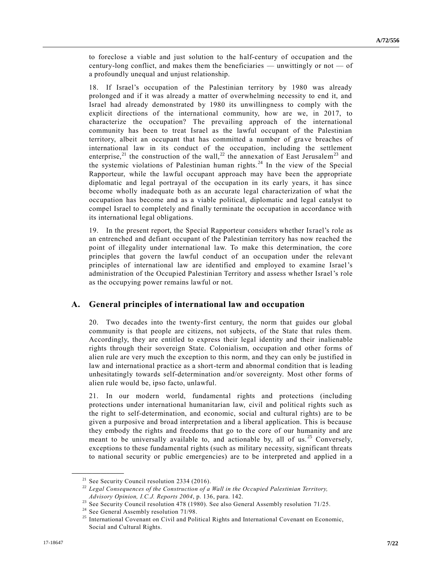to foreclose a viable and just solution to the half-century of occupation and the century-long conflict, and makes them the beneficiaries — unwittingly or not — of a profoundly unequal and unjust relationship.

18. If Israel's occupation of the Palestinian territory by 1980 was already prolonged and if it was already a matter of overwhelming necessity to end it, and Israel had already demonstrated by 1980 its unwillingness to comply with the explicit directions of the international community, how are we, in 2017, to characterize the occupation? The prevailing approach of the international community has been to treat Israel as the lawful occupant of the Palestinian territory, albeit an occupant that has committed a number of grave breaches of international law in its conduct of the occupation, including the settlement enterprise,<sup>21</sup> the construction of the wall,<sup>22</sup> the annexation of East Jerusalem<sup>23</sup> and the systemic violations of Palestinian human rights.<sup>24</sup> In the view of the Special Rapporteur, while the lawful occupant approach may have been the appropriate diplomatic and legal portrayal of the occupation in its early years, it has since become wholly inadequate both as an accurate legal characterization of what the occupation has become and as a viable political, diplomatic and legal catalyst to compel Israel to completely and finally terminate the occupation in accordance with its international legal obligations.

19. In the present report, the Special Rapporteur considers whether Israel's role as an entrenched and defiant occupant of the Palestinian territory has now reached the point of illegality under international law. To make this determination, the core principles that govern the lawful conduct of an occupation under the relevant principles of international law are identified and employed to examine Israel's administration of the Occupied Palestinian Territory and assess whether Israel's role as the occupying power remains lawful or not.

## **A. General principles of international law and occupation**

20. Two decades into the twenty-first century, the norm that guides our global community is that people are citizens, not subjects, of the State that rules them. Accordingly, they are entitled to express their legal identity and their inalienable rights through their sovereign State. Colonialism, occupation and other forms of alien rule are very much the exception to this norm, and they can only be justified in law and international practice as a short-term and abnormal condition that is leading unhesitatingly towards self-determination and/or sovereignty. Most other forms of alien rule would be, ipso facto, unlawful.

21. In our modern world, fundamental rights and protections (including protections under international humanitarian law, civil and political rights such as the right to self-determination, and economic, social and cultural rights) are to be given a purposive and broad interpretation and a liberal application. This is because they embody the rights and freedoms that go to the core of our humanity and are meant to be universally available to, and actionable by, all of us.<sup>25</sup> Conversely, exceptions to these fundamental rights (such as military necessity, significant threats to national security or public emergencies) are to be interpreted and applied in a

<sup>&</sup>lt;sup>21</sup> See Security Council resolution [2334 \(2016\).](https://undocs.org/S/RES/2334(2016))

<sup>22</sup> *Legal Consequences of the Construction of a Wall in the Occupied Palestinian Territory, Advisory Opinion, I.C.J. Reports 2004*, p. 136, para. 142.

<sup>&</sup>lt;sup>23</sup> See Security Council resolution 478 (1980). See also General Assembly resolution [71/25.](https://undocs.org/A/RES/71/25)

<sup>&</sup>lt;sup>24</sup> See General Assembly resolution [71/98.](https://undocs.org/A/RES/71/98)<br><sup>25</sup> International Covenant on Civil and Poli

<sup>25</sup> International Covenant on Civil and Political Rights and International Covenant on Economic, Social and Cultural Rights.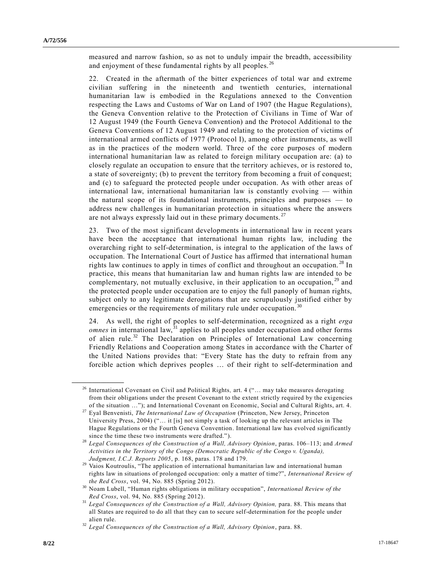measured and narrow fashion, so as not to unduly impair the breadth, accessibility and enjoyment of these fundamental rights by all peoples.<sup>26</sup>

22. Created in the aftermath of the bitter experiences of total war and extreme civilian suffering in the nineteenth and twentieth centuries, international humanitarian law is embodied in the Regulations annexed to the Convention respecting the Laws and Customs of War on Land of 1907 (the Hague Regulations), the Geneva Convention relative to the Protection of Civilians in Time of War of 12 August 1949 (the Fourth Geneva Convention) and the Protocol Additional to the Geneva Conventions of 12 August 1949 and relating to the protection of victims of international armed conflicts of 1977 (Protocol I), among other instruments, as well as in the practices of the modern world. Three of the core purposes of modern international humanitarian law as related to foreign military occupation are: (a) to closely regulate an occupation to ensure that the territory achieves, or is restored to, a state of sovereignty; (b) to prevent the territory from becoming a fruit of conquest; and (c) to safeguard the protected people under occupation. As with other areas of international law, international humanitarian law is constantly evolving — within the natural scope of its foundational instruments, principles and purposes — to address new challenges in humanitarian protection in situations where the answers are not always expressly laid out in these primary documents.<sup>27</sup>

23. Two of the most significant developments in international law in recent years have been the acceptance that international human rights law, including the overarching right to self-determination, is integral to the application of the laws of occupation. The International Court of Justice has affirmed that international human rights law continues to apply in times of conflict and throughout an occupation.<sup>28</sup> In practice, this means that humanitarian law and human rights law are intended to be complementary, not mutually exclusive, in their application to an occupation,<sup>29</sup> and the protected people under occupation are to enjoy the full panoply of human rights, subject only to any legitimate derogations that are scrupulously justified either by emergencies or the requirements of military rule under occupation.<sup>3</sup>

24. As well, the right of peoples to self-determination, recognized as a right *erga omnes* in international law,<sup>31</sup> applies to all peoples under occupation and other forms of alien rule.<sup>32</sup> The Declaration on Principles of International Law concerning Friendly Relations and Cooperation among States in accordance with the Charter of the United Nations provides that: "Every State has the duty to refrain from any forcible action which deprives peoples … of their right to self-determination and

<sup>26</sup> International Covenant on Civil and Political Rights*,* art. 4 ("… may take measures derogating from their obligations under the present Covenant to the extent strictly required by the exigencies of the situation …"); and International Covenant on Economic, Social and Cultural Rights, art. 4.

<sup>27</sup> Eyal Benvenisti, *The International Law of Occupation* (Princeton, New Jersey, Princeton University Press, 2004) ("… it [is] not simply a task of looking up the relevant articles in The Hague Regulations or the Fourth Geneva Convention. International law has evolved significantly since the time these two instruments were drafted.").

<sup>28</sup> *Legal Consequences of the Construction of a Wall, Advisory Opinion*, paras. 106–113; and *Armed Activities in the Territory of the Congo (Democratic Republic of the Congo v. Uganda), Judgment, I.C.J. Reports 2005*, p. 168, paras. 178 and 179.

<sup>&</sup>lt;sup>29</sup> Vaios Koutroulis, "The application of international humanitarian law and international human rights law in situations of prolonged occupation: only a matter of time?", *International Review of the Red Cross*, vol. 94, No. 885 (Spring 2012).

<sup>30</sup> Noam Lubell, "Human rights obligations in military occupation", *International Review of the Red Cross*, vol. 94, No. 885 (Spring 2012).

<sup>&</sup>lt;sup>31</sup> *Legal Consequences of the Construction of a Wall, Advisory Opinion, para.* 88. This means that all States are required to do all that they can to secure self-determination for the people under alien rule.

<sup>32</sup> *Legal Consequences of the Construction of a Wall, Advisory Opinion*, para. 88.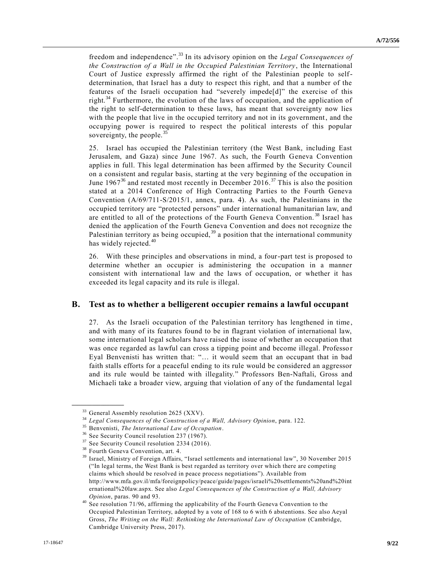freedom and independence". <sup>33</sup> In its advisory opinion on the *Legal Consequences of the Construction of a Wall in the Occupied Palestinian Territory*, the International Court of Justice expressly affirmed the right of the Palestinian people to selfdetermination, that Israel has a duty to respect this right, and that a number of the features of the Israeli occupation had "severely impede[d]" the exercise of this right.<sup>34</sup> Furthermore, the evolution of the laws of occupation, and the application of the right to self-determination to these laws, has meant that sovereignty now lies with the people that live in the occupied territory and not in its government, and the occupying power is required to respect the political interests of this popular sovereignty, the people.<sup>35</sup>

25. Israel has occupied the Palestinian territory (the West Bank, including East Jerusalem, and Gaza) since June 1967. As such, the Fourth Geneva Convention applies in full. This legal determination has been affirmed by the Security Council on a consistent and regular basis, starting at the very beginning of the occupation in June  $1967^{36}$  and restated most recently in December 2016.<sup>37</sup> This is also the position stated at a 2014 Conference of High Contracting Parties to the Fourth Geneva Convention [\(A/69/711-S/2015/1,](https://undocs.org/A/69/711) annex, para. 4). As such, the Palestinians in the occupied territory are "protected persons" under international humanitarian law, and are entitled to all of the protections of the Fourth Geneva Convention. <sup>38</sup> Israel has denied the application of the Fourth Geneva Convention and does not recognize the Palestinian territory as being occupied,<sup>39</sup> a position that the international community has widely rejected.<sup>40</sup>

26. With these principles and observations in mind, a four-part test is proposed to determine whether an occupier is administering the occupation in a manner consistent with international law and the laws of occupation, or whether it has exceeded its legal capacity and its rule is illegal.

### **B. Test as to whether a belligerent occupier remains a lawful occupant**

27. As the Israeli occupation of the Palestinian territory has lengthened in time , and with many of its features found to be in flagrant violation of international law, some international legal scholars have raised the issue of whether an occupation that was once regarded as lawful can cross a tipping point and become illegal. Professor Eyal Benvenisti has written that: "… it would seem that an occupant that in bad faith stalls efforts for a peaceful ending to its rule would be considered an aggressor and its rule would be tainted with illegality." Professors Ben-Naftali, Gross and Michaeli take a broader view, arguing that violation of any of the fundamental legal

<sup>&</sup>lt;sup>33</sup> General Assembly resolution 2625 (XXV).

<sup>34</sup> *Legal Consequences of the Construction of a Wall, Advisory Opinion*, para. 122.

<sup>35</sup> Benvenisti, *The International Law of Occupation*.

<sup>&</sup>lt;sup>36</sup> See Security Council resolution 237 (1967).

<sup>&</sup>lt;sup>37</sup> See Security Council resolution [2334 \(2016\).](https://undocs.org/S/RES/2334(2016))

 $38$  Fourth Geneva Convention, art. 4.<br> $39$  Jereel, Ministry of Ecroian Affairs.

<sup>39</sup> Israel, Ministry of Foreign Affairs, "Israel settlements and international law", 30 November 2015 ("In legal terms, the West Bank is best regarded as territory over which there are competing claims which should be resolved in peace process negotiations"). Available from http://www.mfa.gov.il/mfa/foreignpolicy/peace/guide/pages/israeli%20settlements%20and%20int ernational%20law.aspx. See also *Legal Consequences of the Construction of a Wall, Advisory Opinion*, paras. 90 and 93.

See resolution [71/96,](https://undocs.org/A/RES/71/96) affirming the applicability of the Fourth Geneva Convention to the Occupied Palestinian Territory, adopted by a vote of 168 to 6 with 6 abstentions. See also Aeyal Gross, *The Writing on the Wall: Rethinking the International Law of Occupation* (Cambridge, Cambridge University Press, 2017).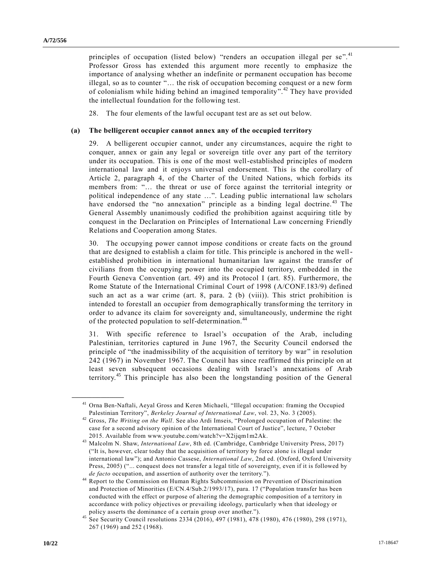principles of occupation (listed below) "renders an occupation illegal per se".<sup>41</sup> Professor Gross has extended this argument more recently to emphasize the importance of analysing whether an indefinite or permanent occupation has become illegal, so as to counter "… the risk of occupation becoming conquest or a new form of colonialism while hiding behind an imagined temporality".<sup>42</sup> They have provided the intellectual foundation for the following test.

28. The four elements of the lawful occupant test are as set out below.

#### **(a) The belligerent occupier cannot annex any of the occupied territory**

29. A belligerent occupier cannot, under any circumstances, acquire the right to conquer, annex or gain any legal or sovereign title over any part of the territory under its occupation. This is one of the most well-established principles of modern international law and it enjoys universal endorsement. This is the corollary of Article 2, paragraph 4, of the Charter of the United Nations, which forbids its members from: "… the threat or use of force against the territorial integrity or political independence of any state …". Leading public international law scholars have endorsed the "no annexation" principle as a binding legal doctrine.<sup>43</sup> The General Assembly unanimously codified the prohibition against acquiring title by conquest in the Declaration on Principles of International Law concerning Friendly Relations and Cooperation among States.

30. The occupying power cannot impose conditions or create facts on the ground that are designed to establish a claim for title. This principle is anchored in the wellestablished prohibition in international humanitarian law against the transfer of civilians from the occupying power into the occupied territory, embedded in the Fourth Geneva Convention (art. 49) and its Protocol I (art. 85). Furthermore, the Rome Statute of the International Criminal Court of 1998 [\(A/CONF.183/9\)](https://undocs.org/A/CONF.183/9) defined such an act as a war crime (art. 8, para. 2 (b) (viii)). This strict prohibition is intended to forestall an occupier from demographically transforming the territory in order to advance its claim for sovereignty and, simultaneously, undermine the right of the protected population to self-determination.<sup>44</sup>

31. With specific reference to Israel's occupation of the Arab, including Palestinian, territories captured in June 1967, the Security Council endorsed the principle of "the inadmissibility of the acquisition of territory by war" in resolution 242 (1967) in November 1967. The Council has since reaffirmed this principle on at least seven subsequent occasions dealing with Israel's annexations of Arab territory.<sup>45</sup> This principle has also been the longstanding position of the General

<sup>&</sup>lt;sup>41</sup> Orna Ben-Naftali, Aeyal Gross and Keren Michaeli, "Illegal occupation: framing the Occupied Palestinian Territory", *Berkeley Journal of International Law*, vol. 23, No. 3 (2005).

<sup>42</sup> Gross, *The Writing on the Wall*. See also Ardi Imseis, "Prolonged occupation of Palestine: the case for a second advisory opinion of the International Court of Justice", lecture, 7 October 2015. Available from [www.youtube.com/watch?v=X2ijqm1m2Ak.](http://www.youtube.com/watch?v=X2ijqm1m2Ak)

<sup>43</sup> Malcolm N. Shaw, *International Law*, 8th ed. (Cambridge, Cambridge University Press, 2017) ("It is, however, clear today that the acquisition of territory by force alone is illegal under international law"); and Antonio Cassese, *International Law*, 2nd ed. (Oxford, Oxford University Press, 2005) ("... conquest does not transfer a legal title of sovereignty, even if it is followed by *de facto* occupation, and assertion of authority over the territory.").

<sup>&</sup>lt;sup>44</sup> Report to the Commission on Human Rights Subcommission on Prevention of Discrimination and Protection of Minorities [\(E/CN.4/Sub.2/1993/17\)](https://undocs.org/E/CN.4/Sub.2/1993/17), para. 17 ("Population transfer has been conducted with the effect or purpose of altering the demographic composition of a territory in accordance with policy objectives or prevailing ideology, particularly when that ideology or policy asserts the dominance of a certain group over another.").

See Security Council resolutions [2334 \(2016\),](https://undocs.org/S/RES/2334(2016)) 497 (1981), 478 (1980), 476 (1980), 298 [\(1971\)](http://undocs.org/S/RES/298(1971)), 267 [\(1969\)](http://undocs.org/S/RES/267(1969)) and 252 [\(1968\)](http://undocs.org/S/RES/252(1968)).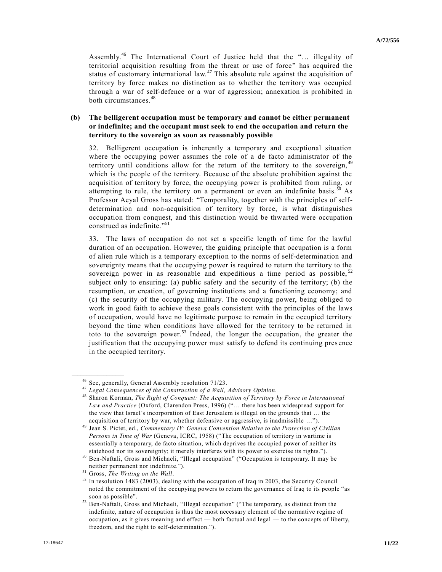Assembly.<sup>46</sup> The International Court of Justice held that the "… illegality of territorial acquisition resulting from the threat or use of force" has acquired the status of customary international law.<sup>47</sup> This absolute rule against the acquisition of territory by force makes no distinction as to whether the territory was occupied through a war of self-defence or a war of aggression; annexation is prohibited in both circumstances.<sup>48</sup>

#### **(b) The belligerent occupation must be temporary and cannot be either permanent or indefinite; and the occupant must seek to end the occupation and return the territory to the sovereign as soon as reasonably possible**

32. Belligerent occupation is inherently a temporary and exceptional situation where the occupying power assumes the role of a de facto administrator of the territory until conditions allow for the return of the territory to the sovereign, <sup>49</sup> which is the people of the territory. Because of the absolute prohibition against the acquisition of territory by force, the occupying power is prohibited from ruling, or attempting to rule, the territory on a permanent or even an indefinite basis.<sup>50</sup> As Professor Aeyal Gross has stated: "Temporality, together with the principles of selfdetermination and non-acquisition of territory by force, is what distinguishes occupation from conquest, and this distinction would be thwarted were occupation construed as indefinite." 51

33. The laws of occupation do not set a specific length of time for the lawful duration of an occupation. However, the guiding principle that occupation is a form of alien rule which is a temporary exception to the norms of self-determination and sovereignty means that the occupying power is required to return the territory to the sovereign power in as reasonable and expeditious a time period as possible, $\frac{5}{2}$ subject only to ensuring: (a) public safety and the security of the territory; (b) the resumption, or creation, of governing institutions and a functioning economy; and (c) the security of the occupying military. The occupying power, being obliged to work in good faith to achieve these goals consistent with the principles of the laws of occupation, would have no legitimate purpose to remain in the occupied territory beyond the time when conditions have allowed for the territory to be returned in toto to the sovereign power.<sup>53</sup> Indeed, the longer the occupation, the greater the justification that the occupying power must satisfy to defend its continuing pres ence in the occupied territory.

<sup>46</sup> See, generally, General Assembly resolution [71/23.](https://undocs.org/A/RES/71/23)

<sup>47</sup> *Legal Consequences of the Construction of a Wall, Advisory Opinion*.

<sup>48</sup> Sharon Korman, *The Right of Conquest: The Acquisition of Territory by Force in International Law and Practice* (Oxford, Clarendon Press, 1996) ("… there has been widespread support for the view that Israel's incorporation of East Jerusalem is illegal on the grounds that … the acquisition of territory by war, whether defensive or aggressive, is inadmissible …").

<sup>49</sup> Jean S. Pictet, ed., *Commentary IV: Geneva Convention Relative to the Protection of Civilian Persons in Time of War* (Geneva, ICRC, 1958) ("The occupation of territory in wartime is essentially a temporary, de facto situation, which deprives the occupied power of neither its statehood nor its sovereignty; it merely interferes with its power to exercise its rights.").

<sup>50</sup> Ben-Naftali, Gross and Michaeli, "Illegal occupation" ("Occupation is temporary. It may be neither permanent nor indefinite.").

<sup>51</sup> Gross, *The Writing on the Wall*.

 $52$  In resolution [1483 \(2003\),](https://undocs.org/S/RES/1483(2003)) dealing with the occupation of Iraq in 2003, the Security Council noted the commitment of the occupying powers to return the governance of Iraq to its people "as soon as possible".

<sup>53</sup> Ben-Naftali, Gross and Michaeli, "Illegal occupation" ("The temporary, as distinct from the indefinite, nature of occupation is thus the most necessary element of the normative regime of occupation, as it gives meaning and effect — both factual and legal — to the concepts of liberty, freedom, and the right to self-determination.").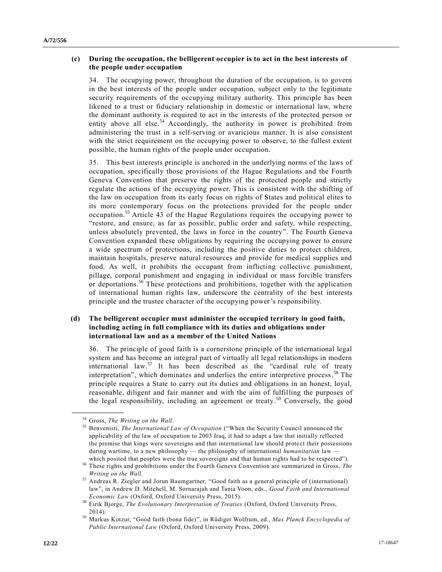#### **(c) During the occupation, the belligerent occupier is to act in the best interests of the people under occupation**

34. The occupying power, throughout the duration of the occupation, is to govern in the best interests of the people under occupation, subject only to the legitimate security requirements of the occupying military authority. This principle has been likened to a trust or fiduciary relationship in domestic or international law, where the dominant authority is required to act in the interests of the protected person or entity above all else.<sup>54</sup> Accordingly, the authority in power is prohibited from administering the trust in a self-serving or avaricious manner. It is also consistent with the strict requirement on the occupying power to observe, to the fullest extent possible, the human rights of the people under occupation.

35. This best interests principle is anchored in the underlying norms of the laws of occupation, specifically those provisions of the Hague Regulations and the Fourth Geneva Convention that preserve the rights of the protected people and strictly regulate the actions of the occupying power. This is consistent with the shifting of the law on occupation from its early focus on rights of States and political elites to its more contemporary focus on the protections provided for the people under occupation.<sup>55</sup> Article 43 of the Hague Regulations requires the occupying power to "restore, and ensure, as far as possible, public order and safety, while respecting, unless absolutely prevented, the laws in force in the country". The Fourth Geneva Convention expanded these obligations by requiring the occupying power to ensure a wide spectrum of protections, including the positive duties to protect children, maintain hospitals, preserve natural resources and provide for medical supplies and food. As well, it prohibits the occupant from inflicting collective punishment, pillage, corporal punishment and engaging in individual or mass forcible transfers or deportations.<sup>56</sup> These protections and prohibitions, together with the application of international human rights law, underscore the centrality of the best interests principle and the trustee character of the occupying power's responsibility.

#### **(d) The belligerent occupier must administer the occupied territory in good faith, including acting in full compliance with its duties and obligations under international law and as a member of the United Nations**

36. The principle of good faith is a cornerstone principle of the international legal system and has become an integral part of virtually all legal relationships in modern international law.<sup>57</sup> It has been described as the "cardinal rule of treaty interpretation", which dominates and underlies the entire interpretive process. <sup>58</sup> The principle requires a State to carry out its duties and obligations in an honest, loyal, reasonable, diligent and fair manner and with the aim of fulfilling the purposes of the legal responsibility, including an agreement or treaty. <sup>59</sup> Conversely, the good

<sup>&</sup>lt;sup>54</sup> Gross, *The Writing on the Wall*.<br><sup>55</sup> Benyenisti, *The International L* 

<sup>55</sup> Benvenisti, *The International Law of Occupation* ("When the Security Council announced the applicability of the law of occupation to 2003 Iraq, it had to adapt a law that initially reflected the premise that kings were sovereigns and that international law should prote ct their possessions during wartime, to a new philosophy — the philosophy of international *humanitarian* law which posited that peoples were the true sovereigns and that human rights had to be respected").

<sup>56</sup> These rights and prohibitions under the Fourth Geneva Convention are summarized in Gross, *The Writing on the Wall*.

<sup>57</sup> Andreas R. Ziegler and Jorun Baumgartner, "Good faith as a general principle of (international) law", in Andrew D. Mitchell, M. Sornarajah and Tania Voon, eds., *Good Faith and International Economic Law* (Oxford, Oxford University Press, 2015).

<sup>58</sup> Eirik Bjorge, *The Evolutionary Interpretation of Treaties* (Oxford, Oxford University Press, 2014).

<sup>59</sup> Markus Kotzur, "Good faith (bona fide)", in Rüdiger Wolfrum, ed., *Max Planck Encyclopedia of Public International Law* (Oxford, Oxford University Press, 2009).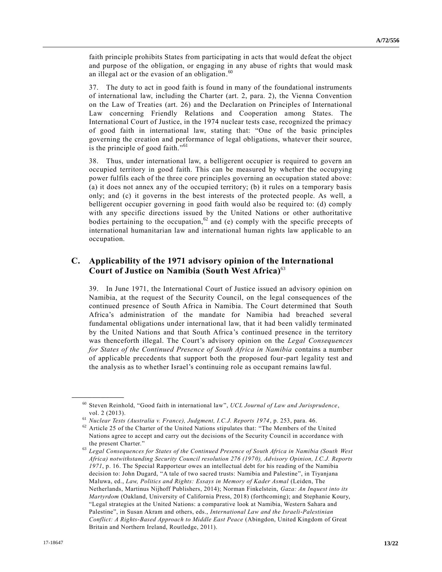faith principle prohibits States from participating in acts that would defeat the object and purpose of the obligation, or engaging in any abuse of rights that would mask an illegal act or the evasion of an obligation.<sup>60</sup>

37. The duty to act in good faith is found in many of the foundational instruments of international law, including the Charter (art. 2, para. 2), the Vienna Convention on the Law of Treaties (art. 26) and the Declaration on Principles of International Law concerning Friendly Relations and Cooperation among States. The International Court of Justice, in the 1974 nuclear tests case, recognized the primacy of good faith in international law, stating that: "One of the basic principles governing the creation and performance of legal obligations, whatever their source, is the principle of good faith."<sup>61</sup>

38. Thus, under international law, a belligerent occupier is required to govern an occupied territory in good faith. This can be measured by whether the occupying power fulfils each of the three core principles governing an occupation stated above: (a) it does not annex any of the occupied territory; (b) it rules on a temporary basis only; and (c) it governs in the best interests of the protected people. As well, a belligerent occupier governing in good faith would also be required to: (d) comply with any specific directions issued by the United Nations or other authoritative bodies pertaining to the occupation,<sup>62</sup> and (e) comply with the specific precepts of international humanitarian law and international human rights law applicable to an occupation.

### **C. Applicability of the 1971 advisory opinion of the International Court of Justice on Namibia (South West Africa)**<sup>63</sup>

39. In June 1971, the International Court of Justice issued an advisory opinion on Namibia, at the request of the Security Council, on the legal consequences of the continued presence of South Africa in Namibia. The Court determined that South Africa's administration of the mandate for Namibia had breached several fundamental obligations under international law, that it had been validly terminated by the United Nations and that South Africa's continued presence in the territory was thenceforth illegal. The Court's advisory opinion on the *Legal Consequences for States of the Continued Presence of South Africa in Namibia* contains a number of applicable precedents that support both the proposed four-part legality test and the analysis as to whether Israel's continuing role as occupant remains lawful.

<sup>60</sup> Steven Reinhold, "Good faith in international law", *UCL Journal of Law and Jurisprudence*, vol. 2 (2013).

<sup>61</sup> *Nuclear Tests (Australia v. France), Judgment, I.C.J. Reports 1974*, p. 253, para. 46.

 $62$  Article 25 of the Charter of the United Nations stipulates that: "The Members of the United Nations agree to accept and carry out the decisions of the Security Council in accordance with the present Charter."

<sup>63</sup> *Legal Consequences for States of the Continued Presence of South Africa in Namibia (South West Africa) notwithstanding Security Council resolution 276 (1970), Advisory Opinion, I.C.J. Reports 1971*, p. 16. The Special Rapporteur owes an intellectual debt for his reading of the Namibia decision to: John Dugard, "A tale of two sacred trusts: Namibia and Palestine", in Tiyanjana Maluwa, ed., *Law, Politics and Rights: Essays in Memory of Kader Asmal* (Leiden, The Netherlands, Martinus Nijhoff Publishers, 2014); Norman Finkelstein, *Gaza: An Inquest into its Martyrdom* (Oakland, University of California Press, 2018) (forthcoming); and Stephanie Koury, "Legal strategies at the United Nations: a comparative look at Namibia, Western Sahara and Palestine", in Susan Akram and others, eds., *International Law and the Israeli-Palestinian Conflict: A Rights-Based Approach to Middle East Peace* (Abingdon, United Kingdom of Great Britain and Northern Ireland, Routledge, 2011).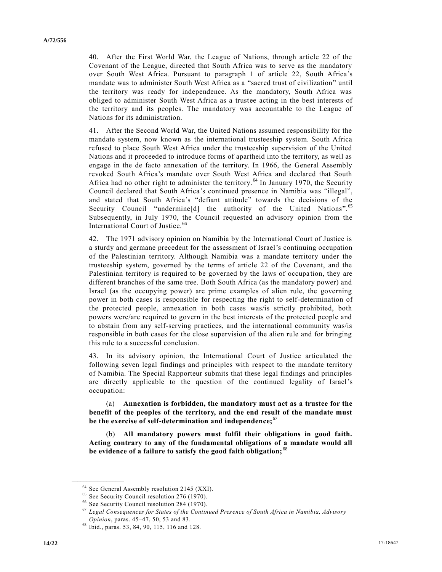40. After the First World War, the League of Nations, through article 22 of the Covenant of the League, directed that South Africa was to serve as the mandatory over South West Africa. Pursuant to paragraph 1 of article 22, South Africa's mandate was to administer South West Africa as a "sacred trust of civilization" until the territory was ready for independence. As the mandatory, South Africa was obliged to administer South West Africa as a trustee acting in the best interests of the territory and its peoples. The mandatory was accountable to the League of Nations for its administration.

41. After the Second World War, the United Nations assumed responsibility for the mandate system, now known as the international trusteeship system. South Africa refused to place South West Africa under the trusteeship supervision of the United Nations and it proceeded to introduce forms of apartheid into the territory, as well as engage in the de facto annexation of the territory. In 1966, the General Assembly revoked South Africa's mandate over South West Africa and declared that South Africa had no other right to administer the territory.<sup>64</sup> In January 1970, the Security Council declared that South Africa's continued presence in Namibia was "illegal", and stated that South Africa's "defiant attitude" towards the decisions of the Security Council "undermine[d] the authority of the United Nations".<sup>65</sup> Subsequently, in July 1970, the Council requested an advisory opinion from the International Court of Justice.<sup>6</sup>

42. The 1971 advisory opinion on Namibia by the International Court of Justice is a sturdy and germane precedent for the assessment of Israel's continuing occupation of the Palestinian territory. Although Namibia was a mandate territory under the trusteeship system, governed by the terms of article 22 of the Covenant, and the Palestinian territory is required to be governed by the laws of occupation, they are different branches of the same tree. Both South Africa (as the mandatory power) and Israel (as the occupying power) are prime examples of alien rule, the governing power in both cases is responsible for respecting the right to self-determination of the protected people, annexation in both cases was/is strictly prohibited, both powers were/are required to govern in the best interests of the protected people and to abstain from any self-serving practices, and the international community was/is responsible in both cases for the close supervision of the alien rule and for bringing this rule to a successful conclusion.

43. In its advisory opinion, the International Court of Justice articulated the following seven legal findings and principles with respect to the mandate territory of Namibia. The Special Rapporteur submits that these legal findings and principles are directly applicable to the question of the continued legality of Israel's occupation:

(a) **Annexation is forbidden, the mandatory must act as a trustee for the benefit of the peoples of the territory, and the end result of the mandate must be the exercise of self-determination and independence;**<sup>67</sup>

(b) **All mandatory powers must fulfil their obligations in good faith. Acting contrary to any of the fundamental obligations of a mandate would all be evidence of a failure to satisfy the good faith obligation;** <sup>68</sup>

<sup>64</sup> See General Assembly resolution 2145 (XXI).

<sup>&</sup>lt;sup>65</sup> See Security Council resolution 276 (1970).

<sup>66</sup> See Security Council resolution 284 (1970).

<sup>67</sup> *Legal Consequences for States of the Continued Presence of South Africa in Namibia, Advisory Opinion*, paras. 45–47, 50, 53 and 83.

<sup>68</sup> Ibid., paras. 53, 84, 90, 115, 116 and 128.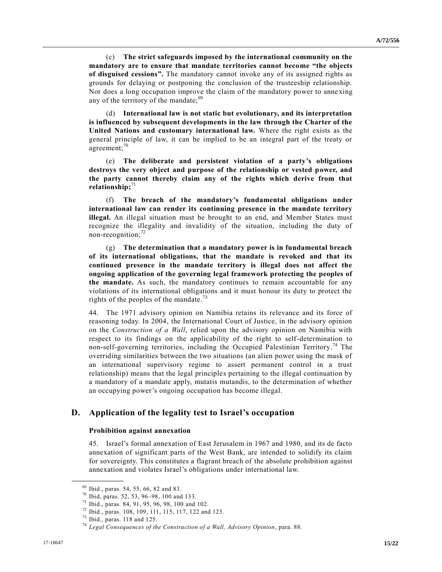(c) **The strict safeguards imposed by the international community on the mandatory are to ensure that mandate territories cannot become "the objects of disguised cessions".** The mandatory cannot invoke any of its assigned rights as grounds for delaying or postponing the conclusion of the trusteeship relationship. Nor does a long occupation improve the claim of the mandatory power to anne xing any of the territory of the mandate;  $69$ 

(d) **International law is not static but evolutionary, and its interpretation is influenced by subsequent developments in the law through the Charter of the United Nations and customary international law.** Where the right exists as the general principle of law, it can be implied to be an integral part of the treaty or agreement;<sup>70</sup>

(e) **The deliberate and persistent violation of a party's obligations destroys the very object and purpose of the relationship or vested power, and the party cannot thereby claim any of the rights which derive from that**  relationship;<sup>71</sup>

(f) **The breach of the mandatory's fundamental obligations under international law can render its continuing presence in the mandate territory illegal.** An illegal situation must be brought to an end, and Member States must recognize the illegality and invalidity of the situation, including the duty of non-recognition; $72$ 

(g) **The determination that a mandatory power is in fundamental breach of its international obligations, that the mandate is revoked and that its continued presence in the mandate territory is illegal does not affect the ongoing application of the governing legal framework protecting the peoples of the mandate.** As such, the mandatory continues to remain accountable for any violations of its international obligations and it must honour its duty to protect the rights of the peoples of the mandate.<sup>73</sup>

44. The 1971 advisory opinion on Namibia retains its relevance and its force of reasoning today. In 2004, the International Court of Justice, in the advisory opinion on the *Construction of a Wall*, relied upon the advisory opinion on Namibia with respect to its findings on the applicability of the right to self-determination to non-self-governing territories, including the Occupied Palestinian Territory. <sup>74</sup> The overriding similarities between the two situations (an alien power using the mask of an international supervisory regime to assert permanent control in a trust relationship) means that the legal principles pertaining to the illegal continuation by a mandatory of a mandate apply, mutatis mutandis, to the determination of whether an occupying power's ongoing occupation has become illegal.

### **D. Application of the legality test to Israel's occupation**

#### **Prohibition against annexation**

45. Israel's formal annexation of East Jerusalem in 1967 and 1980, and its de facto annexation of significant parts of the West Bank, are intended to solidify its claim for sovereignty. This constitutes a flagrant breach of the absolute prohibition against annexation and violates Israel's obligations under international law.

<sup>69</sup> Ibid., paras. 54, 55, 66, 82 and 83.

<sup>70</sup> Ibid, paras. 52, 53, 96–98, 100 and 133.

<sup>71</sup> Ibid., paras. 84, 91, 95, 96, 98, 100 and 102.

<sup>72</sup> Ibid., paras. 108, 109, 111, 115, 117, 122 and 123.

<sup>73</sup> Ibid., paras. 118 and 125.

<sup>74</sup> *Legal Consequences of the Construction of a Wall, Advisory Opinion*, para. 88.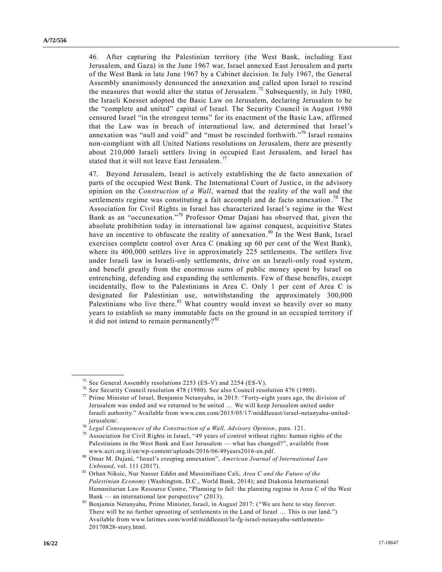46. After capturing the Palestinian territory (the West Bank, including East Jerusalem, and Gaza) in the June 1967 war, Israel annexed East Jerusalem and parts of the West Bank in late June 1967 by a Cabinet decision. In July 1967, the General Assembly unanimously denounced the annexation and called upon Israel to rescind the measures that would alter the status of Jerusalem.<sup>75</sup> Subsequently, in July 1980, the Israeli Knesset adopted the Basic Law on Jerusalem, declaring Jerusalem to be the "complete and united" capital of Israel. The Security Council in August 1980 censured Israel "in the strongest terms" for its enactment of the Basic Law, affirmed that the Law was in breach of international law, and determined that Israel's annexation was "null and void" and "must be rescinded forthwith." <sup>76</sup> Israel remains non-compliant with all United Nations resolutions on Jerusalem, there are presently about 210,000 Israeli settlers living in occupied East Jerusalem, and Israel has stated that it will not leave East Jerusalem.<sup>77</sup>

47. Beyond Jerusalem, Israel is actively establishing the de facto annexation of parts of the occupied West Bank. The International Court of Justic e, in the advisory opinion on the *Construction of a Wall*, warned that the reality of the wall and the settlements regime was constituting a fait accompli and de facto annexation.<sup>78</sup> The Association for Civil Rights in Israel has characterized Israel's regime in the West Bank as an "occunexation." <sup>79</sup> Professor Omar Dajani has observed that, given the absolute prohibition today in international law against conquest, acquisitive States have an incentive to obfuscate the reality of annexation.<sup>80</sup> In the West Bank, Israel exercises complete control over Area C (making up 60 per cent of the West Bank), where its 400,000 settlers live in approximately 225 settlements. The settlers live under Israeli law in Israeli-only settlements, drive on an Israeli-only road system, and benefit greatly from the enormous sums of public money spent by Israel on entrenching, defending and expanding the settlements. Few of these benefits, except incidentally, flow to the Palestinians in Area C. Only 1 per cent of Area C is designated for Palestinian use, notwithstanding the approximately 300,000 Palestinians who live there.<sup>81</sup> What country would invest so heavily over so many years to establish so many immutable facts on the ground in an occupied territory if it did not intend to remain permanently?<sup>82</sup>

<sup>&</sup>lt;sup>75</sup> See General Assembly resolutions 2253 (ES-V) and 2254 (ES-V).

<sup>&</sup>lt;sup>76</sup> See Security Council resolution 478 (1980). See also Council resolution 476 (1980).<br><sup>77</sup> Prime Minister of Israel, Benjamin Netanyahu, in 2015; "Forty-eight years ago, the

Prime Minister of Israel, Benjamin Netanyahu, in 2015: "Forty-eight years ago, the division of Jerusalem was ended and we returned to be united … We will keep Jerusalem united under Israeli authority." Available from [www.cnn.com/2015/05/17/middleeast/israel-netanyahu-united](http://www.cnn.com/2015/05/17/middleeast/israel-netanyahu-united-jerusalem/)[jerusalem/.](http://www.cnn.com/2015/05/17/middleeast/israel-netanyahu-united-jerusalem/)

<sup>78</sup> *Legal Consequences of the Construction of a Wall, Advisory Opinion*, para. 121.

 $79$  Association for Civil Rights in Israel, "49 years of control without rights: human rights of the Palestinians in the West Bank and East Jerusalem — what has changed?", available from [www.acri.org.il/en/wp-content/uploads/2016/06/49years2016-en.pdf.](http://www.acri.org.il/en/wp-content/uploads/2016/06/49years2016-en.pdf)

<sup>80</sup> Omar M. Dajani, "Israel's creeping annexation", *American Journal of International Law Unbound*, vol. 111 (2017).

<sup>81</sup> Orhan Niksic, Nur Nasser Eddin and Massimiliano Cali, *Area C and the Future of the Palestinian Economy* (Washington, D.C., World Bank, 2014); and Diakonia International Humanitarian Law Resource Centre, "Planning to fail: the planning regime in Area C of the West Bank — an international law perspective" (2013).

<sup>82</sup> Benjamin Netanyahu, Prime Minister, Israel, in August 2017: ("We are here to stay forever. There will be no further uprooting of settlements in the Land of Israel … This is our land.") Available from [www.latimes.com/world/middleeast/la-fg-israel-netanyahu-settlements-](http://www.latimes.com/world/middleeast/la-fg-israel-netanyahu-settlements-20170828-story.html)[20170828-story.html.](http://www.latimes.com/world/middleeast/la-fg-israel-netanyahu-settlements-20170828-story.html)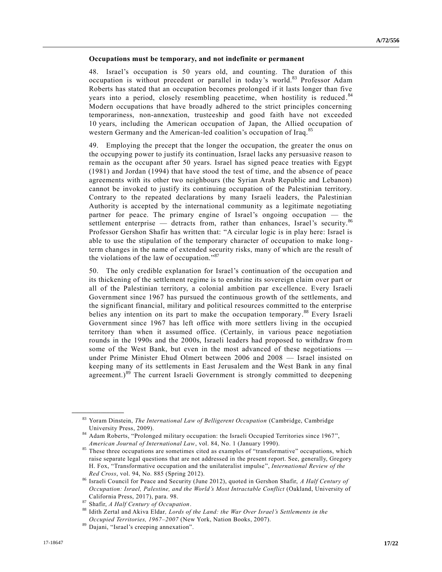#### **Occupations must be temporary, and not indefinite or permanent**

48. Israel's occupation is 50 years old, and counting. The duration of this occupation is without precedent or parallel in today's world.<sup>83</sup> Professor Adam Roberts has stated that an occupation becomes prolonged if it lasts longer than five years into a period, closely resembling peacetime, when hostility is reduced.<sup>84</sup> Modern occupations that have broadly adhered to the strict principles concerning temporariness, non-annexation, trusteeship and good faith have not exceeded 10 years, including the American occupation of Japan, the Allied occupation of western Germany and the American-led coalition's occupation of Iraq.<sup>85</sup>

49. Employing the precept that the longer the occupation, the greater the onus on the occupying power to justify its continuation, Israel lacks any persuasive reason to remain as the occupant after 50 years. Israel has signed peace treaties with Egypt (1981) and Jordan (1994) that have stood the test of time, and the absence of peace agreements with its other two neighbours (the Syrian Arab Republic and Lebanon) cannot be invoked to justify its continuing occupation of the Palestinian territory. Contrary to the repeated declarations by many Israeli leaders, the Palestinian Authority is accepted by the international community as a legitimate negotiating partner for peace. The primary engine of Israel's ongoing occupation — the settlement enterprise — detracts from, rather than enhances, Israel's security.<sup>86</sup> Professor Gershon Shafir has written that: "A circular logic is in play here: Israel is able to use the stipulation of the temporary character of occupation to make long term changes in the name of extended security risks, many of which are the result of the violations of the law of occupation."<sup>87</sup>

50. The only credible explanation for Israel's continuation of the occupation and its thickening of the settlement regime is to enshrine its sovereign claim over part or all of the Palestinian territory, a colonial ambition par excellence. Every Israeli Government since 1967 has pursued the continuous growth of the settlements, and the significant financial, military and political resources committed to the enterprise belies any intention on its part to make the occupation temporary.<sup>88</sup> Every Israeli Government since 1967 has left office with more settlers living in the occupied territory than when it assumed office. (Certainly, in various peace negotiation rounds in the 1990s and the 2000s, Israeli leaders had proposed to withdraw from some of the West Bank, but even in the most advanced of these negotiations under Prime Minister Ehud Olmert between 2006 and 2008 — Israel insisted on keeping many of its settlements in East Jerusalem and the West Bank in any final agreement.) $89$  The current Israeli Government is strongly committed to deepening

<sup>83</sup> Yoram Dinstein, *The International Law of Belligerent Occupation* (Cambridge, Cambridge University Press, 2009).

<sup>84</sup> Adam Roberts, "Prolonged military occupation: the Israeli Occupied Territories since 1967", *American Journal of International Law*, vol. 84, No. 1 (January 1990).

<sup>&</sup>lt;sup>85</sup> These three occupations are sometimes cited as examples of "transformative" occupations, which raise separate legal questions that are not addressed in the present report. See, generally, Gregory H. Fox, "Transformative occupation and the unilateralist impulse", *International Review of the Red Cross*, vol. 94, No. 885 (Spring 2012).

<sup>86</sup> Israeli Council for Peace and Security (June 2012), quoted in Gershon Shafir, *A Half Century of Occupation: Israel, Palestine, and the World's Most Intractable Conflict* (Oakland, University of California Press, 2017), para. 98.

<sup>87</sup> Shafir, *A Half Century of Occupation*.

<sup>88</sup> Idith Zertal and Akiva Eldar*, Lords of the Land: the War Over Israel's Settlements in the Occupied Territories, 1967–2007* (New York, Nation Books, 2007).

<sup>89</sup> Dajani, "Israel's creeping annexation".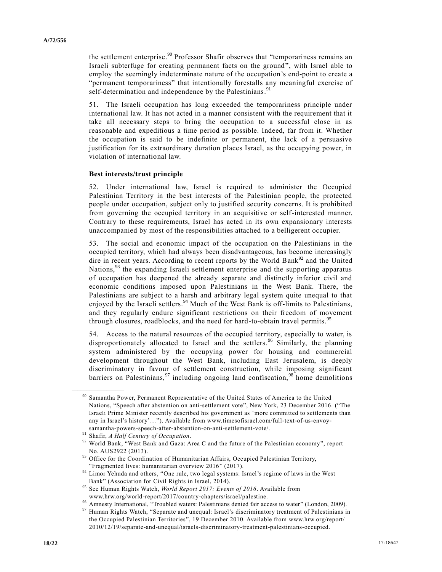the settlement enterprise.<sup>90</sup> Professor Shafir observes that "temporariness remains an Israeli subterfuge for creating permanent facts on the ground", with Israel able to employ the seemingly indeterminate nature of the occupation's end-point to create a "permanent temporariness" that intentionally forestalls any meaningful exercise of self-determination and independence by the Palestinians.<sup>91</sup>

51. The Israeli occupation has long exceeded the temporariness principle under international law. It has not acted in a manner consistent with the requirement that it take all necessary steps to bring the occupation to a successful close in as reasonable and expeditious a time period as possible. Indeed, far from it. Whether the occupation is said to be indefinite or permanent, the lack of a persuasive justification for its extraordinary duration places Israel, as the occupying power, in violation of international law.

#### **Best interests/trust principle**

52. Under international law, Israel is required to administer the Occupied Palestinian Territory in the best interests of the Palestinian people, the protected people under occupation, subject only to justified security concerns. It is prohibited from governing the occupied territory in an acquisitive or self-interested manner. Contrary to these requirements, Israel has acted in its own expansionary interests unaccompanied by most of the responsibilities attached to a belligerent occupier.

53. The social and economic impact of the occupation on the Palestinians in the occupied territory, which had always been disadvantageous, has become increasingly dire in recent years. According to recent reports by the World Bank $92$  and the United Nations,<sup>93</sup> the expanding Israeli settlement enterprise and the supporting apparatus of occupation has deepened the already separate and distinctly inferior civil and economic conditions imposed upon Palestinians in the West Bank. There, the Palestinians are subject to a harsh and arbitrary legal system quite unequal to that enjoyed by the Israeli settlers.<sup>94</sup> Much of the West Bank is off-limits to Palestinians, and they regularly endure significant restrictions on their freedom of movement through closures, roadblocks, and the need for hard-to-obtain travel permits.<sup>95</sup>

54. Access to the natural resources of the occupied territory, especially to water, is disproportionately allocated to Israel and the settlers. <sup>96</sup> Similarly, the planning system administered by the occupying power for housing and commercial development throughout the West Bank, including East Jerusalem, is deeply discriminatory in favour of settlement construction, while imposing significant barriers on Palestinians,<sup>97</sup> including ongoing land confiscation,<sup>98</sup> home demolitions

<sup>&</sup>lt;sup>90</sup> Samantha Power, Permanent Representative of the United States of America to the United Nations, "Speech after abstention on anti-settlement vote", New York, 23 December 2016. ("The Israeli Prime Minister recently described his government as 'more committed to settlements than any in Israel's history'…"). Available from [www.timesofisrael.com/full-text-of-us-envoy](http://www.timesofisrael.com/full-text-of-us-envoy-samantha-powers-speech-after-abstention-on-anti-settlement-vote/)[samantha-powers-speech-after-abstention-on-anti-settlement-vote/.](http://www.timesofisrael.com/full-text-of-us-envoy-samantha-powers-speech-after-abstention-on-anti-settlement-vote/)

<sup>91</sup> Shafir, *A Half Century of Occupation*.

World Bank, "West Bank and Gaza: Area C and the future of the Palestinian economy", report No. AUS2922 (2013).

<sup>&</sup>lt;sup>93</sup> Office for the Coordination of Humanitarian Affairs, Occupied Palestinian Territory, "Fragmented lives: humanitarian overview 2016" (2017).

<sup>&</sup>lt;sup>94</sup> Limor Yehuda and others, "One rule, two legal systems: Israel's regime of laws in the West Bank" (Association for Civil Rights in Israel, 2014).

<sup>95</sup> See Human Rights Watch, *World Report 2017: Events of 2016*. Available from [www.hrw.org/world-report/2017/country-chapters/israel/palestine.](http://www.hrw.org/world-report/2017/country-chapters/israel/palestine)

www.international, "Troubled waters: Palestinians denied fair access to water" (London, 2009).<br><sup>97</sup> Amnesty International, "Troubled waters: Palestinians denied fair access to water" (London, 2009).

Human Rights Watch, "Separate and unequal: Israel's discriminatory treatment of Palestinians in the Occupied Palestinian Territories", 19 December 2010. Available from [www.hrw.org/report/](http://www.hrw.org/report/%0b2010/12/19/separate-and-unequal/israels-discriminatory-treatment-palestinians-occupied) [2010/12/19/separate-and-unequal/israels-discriminatory-treatment-palestinians-occupied.](http://www.hrw.org/report/%0b2010/12/19/separate-and-unequal/israels-discriminatory-treatment-palestinians-occupied)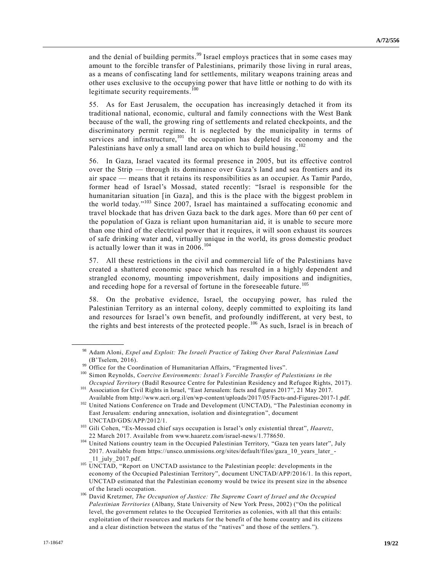and the denial of building permits.<sup>99</sup> Israel employs practices that in some cases may amount to the forcible transfer of Palestinians, primarily those living in rural areas, as a means of confiscating land for settlements, military weapons training areas and other uses exclusive to the occupying power that have little or nothing to do with its legitimate security requirements.<sup>100</sup>

55. As for East Jerusalem, the occupation has increasingly detached it from its traditional national, economic, cultural and family connections with the West Bank because of the wall, the growing ring of settlements and related checkpoints, and the discriminatory permit regime. It is neglected by the municipality in terms of services and infrastructure, $101$  the occupation has depleted its economy and the Palestinians have only a small land area on which to build housing.<sup>102</sup>

56. In Gaza, Israel vacated its formal presence in 2005, but its effective control over the Strip — through its dominance over Gaza's land and sea frontiers and its air space — means that it retains its responsibilities as an occupier. As Tamir Pardo, former head of Israel's Mossad, stated recently: "Israel is responsible for the humanitarian situation [in Gaza], and this is the place with the biggest problem in the world today." <sup>103</sup> Since 2007, Israel has maintained a suffocating economic and travel blockade that has driven Gaza back to the dark ages. More than 60 per cent of the population of Gaza is reliant upon humanitarian aid, it is unable to secure more than one third of the electrical power that it requires, it will soon exhaust its sources of safe drinking water and, virtually unique in the world, its gross domestic product is actually lower than it was in  $2006$ .<sup>104</sup>

57. All these restrictions in the civil and commercial life of the Palestinians have created a shattered economic space which has resulted in a highly dependent and strangled economy, mounting impoverishment, daily impositions and indignities, and receding hope for a reversal of fortune in the foreseeable future.<sup>105</sup>

58. On the probative evidence, Israel, the occupying power, has ruled the Palestinian Territory as an internal colony, deeply committed to exploiting its land and resources for Israel's own benefit, and profoundly indifferent, at very best, to the rights and best interests of the protected people.<sup>106</sup> As such, Israel is in breach of

<sup>98</sup> Adam Aloni, *Expel and Exploit: The Israeli Practice of Taking Over Rural Palestinian Land* (B'Tselem, 2016).

<sup>&</sup>lt;sup>99</sup> Office for the Coordination of Humanitarian Affairs, "Fragmented lives".

<sup>100</sup> Simon Reynolds, *Coercive Environments: Israel's Forcible Transfer of Palestinians in the Occupied Territory* (Badil Resource Centre for Palestinian Residency and Refugee Rights, 2017).

<sup>101</sup> Association for Civil Rights in Israel, "East Jerusalem: facts and figures 2017", 21 May 2017. Available fro[m http://www.acri.org.il/en/wp-content/uploads/2017/05/Facts-and-Figures-2017-1.pdf.](http://www.acri.org.il/en/wp-content/uploads/2017/05/Facts-and-Figures-2017-1.pdf)

<sup>&</sup>lt;sup>102</sup> United Nations Conference on Trade and Development (UNCTAD), "The Palestinian economy in East Jerusalem: enduring annexation, isolation and disintegration", document UNCTAD/GDS/APP/2012/1.

<sup>103</sup> Gili Cohen, "Ex-Mossad chief says occupation is Israel's only existential threat", *Haaretz*, 22 March 2017. Available from [www.haaretz.com/israel-news/1.778650.](http://www.haaretz.com/israel-news/1.778650)

<sup>&</sup>lt;sup>104</sup> United Nations country team in the Occupied Palestinian Territory, "Gaza ten years later", July 2017. Available from [https://unsco.unmissions.org/sites/default/files/gaza\\_10\\_years\\_later\\_-](https://unsco.unmissions.org/sites/default/files/gaza_10_years_later_-_11_july_2017.pdf) [\\_11\\_july\\_2017.pdf.](https://unsco.unmissions.org/sites/default/files/gaza_10_years_later_-_11_july_2017.pdf)

 $105$  UNCTAD, "Report on UNCTAD assistance to the Palestinian people: developments in the economy of the Occupied Palestinian Territory", document UNCTAD/APP/2016/1. In this report, UNCTAD estimated that the Palestinian economy would be twice its present size in the absence of the Israeli occupation.

<sup>106</sup> David Kretzmer, *The Occupation of Justice: The Supreme Court of Israel and the Occupied Palestinian Territories* (Albany, State University of New York Press, 2002) ("On the political level, the government relates to the Occupied Territories as colonies, with all that this entails: exploitation of their resources and markets for the benefit of the home country and its citizens and a clear distinction between the status of the "natives" and those of the settlers.").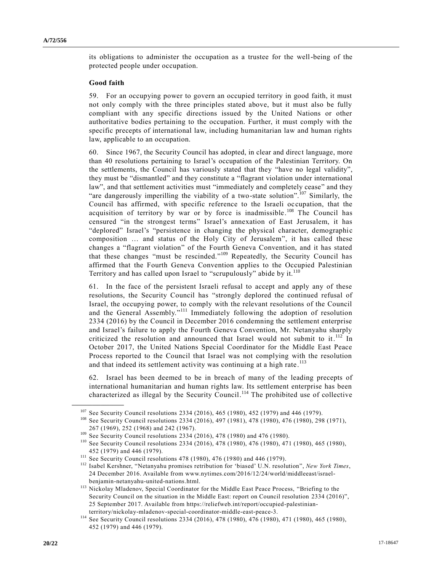its obligations to administer the occupation as a trustee for the well-being of the protected people under occupation.

#### **Good faith**

**\_\_\_\_\_\_\_\_\_\_\_\_\_\_\_\_\_\_**

59. For an occupying power to govern an occupied territory in good faith, it must not only comply with the three principles stated above, but it must also be fully compliant with any specific directions issued by the United Nations or other authoritative bodies pertaining to the occupation. Further, it must comply with the specific precepts of international law, including humanitarian law and human rights law, applicable to an occupation.

60. Since 1967, the Security Council has adopted, in clear and direct language, more than 40 resolutions pertaining to Israel's occupation of the Palestinian Territory. On the settlements, the Council has variously stated that they "have no legal validity", they must be "dismantled" and they constitute a "flagrant violation under international law", and that settlement activities must "immediately and completely cease" and they "are dangerously imperilling the viability of a two-state solution".<sup>107</sup> Similarly, the Council has affirmed, with specific reference to the Israeli occupation, that the acquisition of territory by war or by force is inadmissible.<sup>108</sup> The Council has censured "in the strongest terms" Israel's annexation of East Jerusalem, it has "deplored" Israel's "persistence in changing the physical character, demographic composition … and status of the Holy City of Jerusalem", it has called these changes a "flagrant violation" of the Fourth Geneva Convention, and it has stated that these changes "must be rescinded." <sup>109</sup> Repeatedly, the Security Council has affirmed that the Fourth Geneva Convention applies to the Occupied Palestinian Territory and has called upon Israel to "scrupulously" abide by it.<sup>110</sup>

61. In the face of the persistent Israeli refusal to accept and apply any of these resolutions, the Security Council has "strongly deplored the continued refusal of Israel, the occupying power, to comply with the relevant resolutions of the Council and the General Assembly."<sup>111</sup> Immediately following the adoption of resolution [2334 \(2016\)](https://undocs.org/S/RES/2334(2016)) by the Council in December 2016 condemning the settlement enterprise and Israel's failure to apply the Fourth Geneva Convention, Mr. Netanyahu sharply criticized the resolution and announced that Israel would not submit to it.<sup>112</sup> In October 2017, the United Nations Special Coordinator for the Middle East Peace Process reported to the Council that Israel was not complying with the resolution and that indeed its settlement activity was continuing at a high rate.<sup>113</sup>

62. Israel has been deemed to be in breach of many of the leading precepts of international humanitarian and human rights law. Its settlement enterprise has been characterized as illegal by the Security Council.<sup>114</sup> The prohibited use of collective

 $107$  See Security Council resolutions [2334 \(2016\),](https://undocs.org/S/RES/2334(2016)) 465 (1980), 452 (1979) and 446 (1979).

<sup>&</sup>lt;sup>108</sup> See Security Council resolutions [2334 \(2016\),](https://undocs.org/S/RES/2334(2016)) 497 (1981), 478 (1980), 476 (1980), 298 (1971), 267 (1969), 252 (1968) and 242 (1967).

<sup>109</sup> See Security Council resolutions [2334 \(2016\),](https://undocs.org/S/RES/2334(2016)) 478 (1980) and 476 (1980).

<sup>110</sup> See Security Council resolutions [2334 \(2016\),](https://undocs.org/S/RES/2334(2016)) 478 (1980), 476 (1980), 471 (1980), 465 (1980), 452 (1979) and 446 (1979).

<sup>&</sup>lt;sup>111</sup> See Security Council resolutions 478 (1980), 476 (1980) and 446 (1979).

<sup>112</sup> Isabel Kershner, "Netanyahu promises retribution for 'biased' U.N. resolution", *New York Times*, 24 December 2016. Available from [www.nytimes.com/2016/12/24/world/middleeast/israel](http://www.nytimes.com/2016/12/24/world/middleeast/israel-benjamin-netanyahu-united-nations.html)[benjamin-netanyahu-united-nations.html.](http://www.nytimes.com/2016/12/24/world/middleeast/israel-benjamin-netanyahu-united-nations.html)

<sup>113</sup> Nickolay Mladenov, Special Coordinator for the Middle East Peace Process, "Briefing to the Security Council on the situation in the Middle East: report on Council resolution [2334 \(2016\)"](https://undocs.org/S/RES/2334(2016)), 25 September 2017. Available from [https://reliefweb.int/report/occupied-palestinian](https://reliefweb.int/report/occupied-palestinian-territory/nickolay-mladenov-special-coordinator-middle-east-peace-3)[territory/nickolay-mladenov-special-coordinator-middle-east-peace-3.](https://reliefweb.int/report/occupied-palestinian-territory/nickolay-mladenov-special-coordinator-middle-east-peace-3)

<sup>114</sup> See Security Council resolutions [2334 \(2016\),](https://undocs.org/S/RES/2334(2016)) 478 (1980), 476 (1980), 471 (1980), 465 (1980), 452 (1979) and 446 (1979).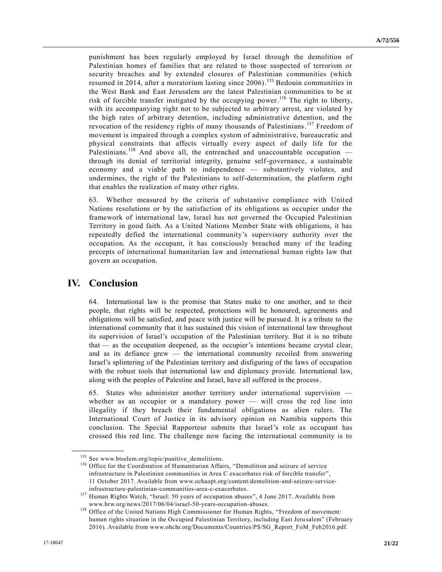punishment has been regularly employed by Israel through the demolition of Palestinian homes of families that are related to those suspected of terrorism or security breaches and by extended closures of Palestinian communities (which resumed in 2014, after a moratorium lasting since 2006).<sup>115</sup> Bedouin communities in the West Bank and East Jerusalem are the latest Palestinian communities to be at risk of forcible transfer instigated by the occupying power.<sup>116</sup> The right to liberty, with its accompanying right not to be subjected to arbitrary arrest, are violated by the high rates of arbitrary detention, including administrative detention, and the revocation of the residency rights of many thousands of Palestinians.<sup>117</sup> Freedom of movement is impaired through a complex system of administrative, bureaucratic and physical constraints that affects virtually every aspect of daily life for the Palestinians.<sup>118</sup> And above all, the entrenched and unaccountable occupation through its denial of territorial integrity, genuine self-governance, a sustainable economy and a viable path to independence — substantively violates, and undermines, the right of the Palestinians to self-determination, the platform right that enables the realization of many other rights.

63. Whether measured by the criteria of substantive compliance with United Nations resolutions or by the satisfaction of its obligations as occupier under the framework of international law, Israel has not governed the Occupied Palestinian Territory in good faith. As a United Nations Member State with obligations, it has repeatedly defied the international community's supervisory authority over the occupation. As the occupant, it has consciously breached many of the leading precepts of international humanitarian law and international human rights law that govern an occupation.

## **IV. Conclusion**

**\_\_\_\_\_\_\_\_\_\_\_\_\_\_\_\_\_\_**

64. International law is the promise that States make to one another, and to their people, that rights will be respected, protections will be honoured, agreements and obligations will be satisfied, and peace with justice will be pursued. It is a tribute to the international community that it has sustained this vision of international law throughout its supervision of Israel's occupation of the Palestinian territory. But it is no tribute that — as the occupation deepened, as the occupier's intentions became crystal clear, and as its defiance grew — the international community recoiled from answering Israel's splintering of the Palestinian territory and disfiguring of the laws of occupation with the robust tools that international law and diplomacy provide. International law, along with the peoples of Palestine and Israel, have all suffered in the process.

65. States who administer another territory under international supervision whether as an occupier or a mandatory power — will cross the red line into illegality if they breach their fundamental obligations as alien rulers. The International Court of Justice in its advisory opinion on Namibia supports this conclusion. The Special Rapporteur submits that Israel's role as occupant has crossed this red line. The challenge now facing the international community is to

<sup>115</sup> See [www.btselem.org/topic/punitive\\_demolitions.](http://www.btselem.org/topic/punitive_demolitions)

<sup>&</sup>lt;sup>116</sup> Office for the Coordination of Humanitarian Affairs, "Demolition and seizure of service infrastructure in Palestinian communities in Area C exacerbates risk of forcible transfer", 11 October 2017. Available from [www.ochaopt.org/content/demolition-and-seizure-service](http://www.ochaopt.org/content/demolition-and-seizure-service-infrastructure-palestinian-communities-area-c-exacerbates)[infrastructure-palestinian-communities-area-c-exacerbates.](http://www.ochaopt.org/content/demolition-and-seizure-service-infrastructure-palestinian-communities-area-c-exacerbates)

<sup>&</sup>lt;sup>117</sup> Human Rights Watch, "Israel: 50 years of occupation abuses", 4 June 2017. Available from [www.hrw.org/news/2017/06/04/israel-50-years-occupation-abuses.](http://www.hrw.org/news/2017/06/04/israel-50-years-occupation-abuses)

<sup>&</sup>lt;sup>118</sup> Office of the United Nations High Commissioner for Human Rights, "Freedom of movement: human rights situation in the Occupied Palestinian Territory, including East Jerusalem" (February 2016). Available from [www.ohchr.org/Documents/Countries/PS/SG\\_Report\\_FoM\\_Feb2016.pdf.](http://www.ohchr.org/Documents/Countries/PS/SG_Report_FoM_Feb2016.pdf)